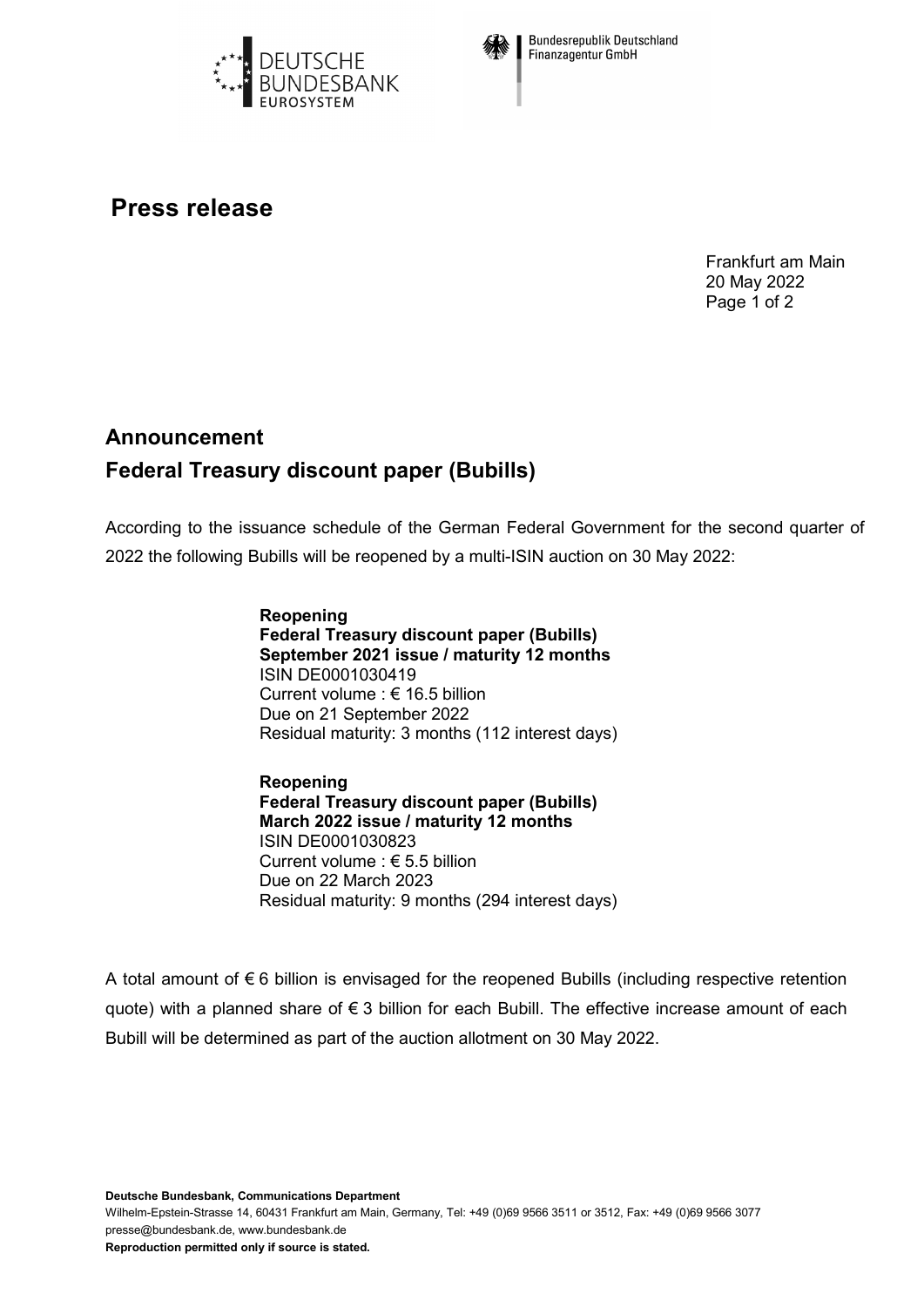



**Bundesrepublik Deutschland Finanzagentur GmbH** 

## **Press release**

Frankfurt am Main 20 May 2022 Page 1 of 2

## **Announcement Federal Treasury discount paper (Bubills)**

According to the issuance schedule of the German Federal Government for the second quarter of 2022 the following Bubills will be reopened by a multi-ISIN auction on 30 May 2022:

> **Reopening Federal Treasury discount paper (Bubills) September 2021 issue / maturity 12 months** ISIN DE0001030419 Current volume : € 16.5 billion Due on 21 September 2022 Residual maturity: 3 months (112 interest days)

> **Reopening Federal Treasury discount paper (Bubills) March 2022 issue / maturity 12 months** ISIN DE0001030823 Current volume : € 5.5 billion Due on 22 March 2023 Residual maturity: 9 months (294 interest days)

A total amount of  $\epsilon$  6 billion is envisaged for the reopened Bubills (including respective retention quote) with a planned share of € 3 billion for each Bubill. The effective increase amount of each Bubill will be determined as part of the auction allotment on 30 May 2022.